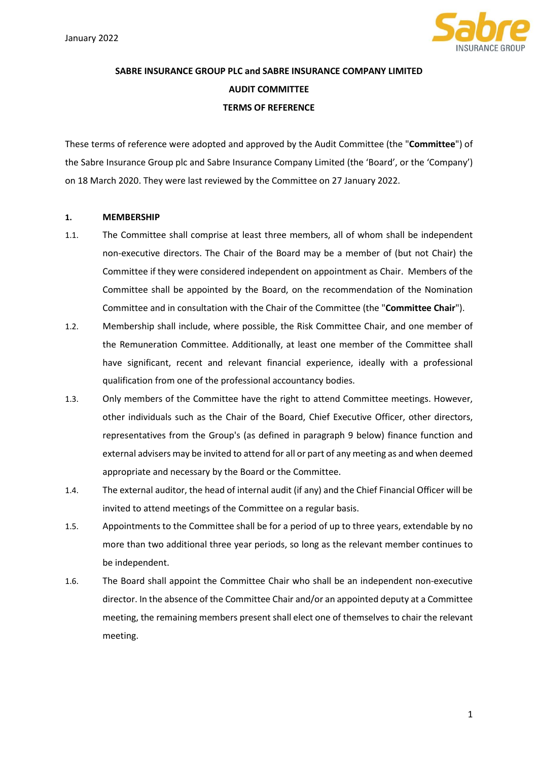

# SABRE INSURANCE GROUP PLC and SABRE INSURANCE COMPANY LIMITED AUDIT COMMITTEE TERMS OF REFERENCE

These terms of reference were adopted and approved by the Audit Committee (the "Committee") of the Sabre Insurance Group plc and Sabre Insurance Company Limited (the 'Board', or the 'Company') on 18 March 2020. They were last reviewed by the Committee on 27 January 2022.

# 1. MEMBERSHIP

- 1.1. The Committee shall comprise at least three members, all of whom shall be independent non-executive directors. The Chair of the Board may be a member of (but not Chair) the Committee if they were considered independent on appointment as Chair. Members of the Committee shall be appointed by the Board, on the recommendation of the Nomination Committee and in consultation with the Chair of the Committee (the "Committee Chair").
- 1.2. Membership shall include, where possible, the Risk Committee Chair, and one member of the Remuneration Committee. Additionally, at least one member of the Committee shall have significant, recent and relevant financial experience, ideally with a professional qualification from one of the professional accountancy bodies.
- 1.3. Only members of the Committee have the right to attend Committee meetings. However, other individuals such as the Chair of the Board, Chief Executive Officer, other directors, representatives from the Group's (as defined in paragraph 9 below) finance function and external advisers may be invited to attend for all or part of any meeting as and when deemed appropriate and necessary by the Board or the Committee.
- 1.4. The external auditor, the head of internal audit (if any) and the Chief Financial Officer will be invited to attend meetings of the Committee on a regular basis.
- 1.5. Appointments to the Committee shall be for a period of up to three years, extendable by no more than two additional three year periods, so long as the relevant member continues to be independent.
- 1.6. The Board shall appoint the Committee Chair who shall be an independent non-executive director. In the absence of the Committee Chair and/or an appointed deputy at a Committee meeting, the remaining members present shall elect one of themselves to chair the relevant meeting.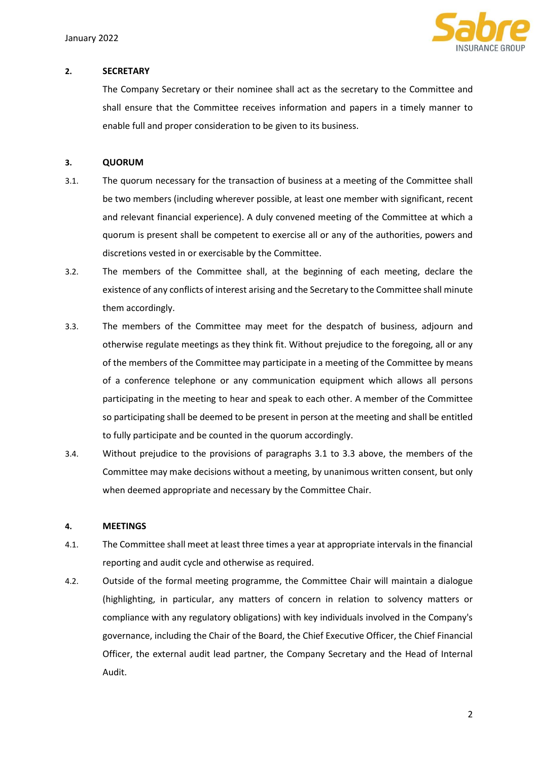

## 2. SECRETARY

The Company Secretary or their nominee shall act as the secretary to the Committee and shall ensure that the Committee receives information and papers in a timely manner to enable full and proper consideration to be given to its business.

# 3. QUORUM

- 3.1. The quorum necessary for the transaction of business at a meeting of the Committee shall be two members (including wherever possible, at least one member with significant, recent and relevant financial experience). A duly convened meeting of the Committee at which a quorum is present shall be competent to exercise all or any of the authorities, powers and discretions vested in or exercisable by the Committee.
- 3.2. The members of the Committee shall, at the beginning of each meeting, declare the existence of any conflicts of interest arising and the Secretary to the Committee shall minute them accordingly.
- 3.3. The members of the Committee may meet for the despatch of business, adjourn and otherwise regulate meetings as they think fit. Without prejudice to the foregoing, all or any of the members of the Committee may participate in a meeting of the Committee by means of a conference telephone or any communication equipment which allows all persons participating in the meeting to hear and speak to each other. A member of the Committee so participating shall be deemed to be present in person at the meeting and shall be entitled to fully participate and be counted in the quorum accordingly.
- 3.4. Without prejudice to the provisions of paragraphs 3.1 to 3.3 above, the members of the Committee may make decisions without a meeting, by unanimous written consent, but only when deemed appropriate and necessary by the Committee Chair.

#### 4. MEETINGS

- 4.1. The Committee shall meet at least three times a year at appropriate intervals in the financial reporting and audit cycle and otherwise as required.
- 4.2. Outside of the formal meeting programme, the Committee Chair will maintain a dialogue (highlighting, in particular, any matters of concern in relation to solvency matters or compliance with any regulatory obligations) with key individuals involved in the Company's governance, including the Chair of the Board, the Chief Executive Officer, the Chief Financial Officer, the external audit lead partner, the Company Secretary and the Head of Internal Audit.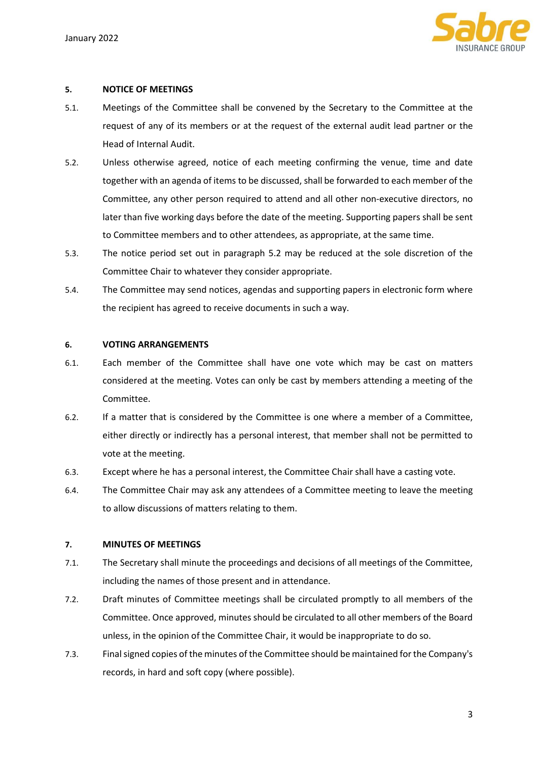

# 5. NOTICE OF MEETINGS

- 5.1. Meetings of the Committee shall be convened by the Secretary to the Committee at the request of any of its members or at the request of the external audit lead partner or the Head of Internal Audit.
- 5.2. Unless otherwise agreed, notice of each meeting confirming the venue, time and date together with an agenda of items to be discussed, shall be forwarded to each member of the Committee, any other person required to attend and all other non-executive directors, no later than five working days before the date of the meeting. Supporting papers shall be sent to Committee members and to other attendees, as appropriate, at the same time.
- 5.3. The notice period set out in paragraph 5.2 may be reduced at the sole discretion of the Committee Chair to whatever they consider appropriate.
- 5.4. The Committee may send notices, agendas and supporting papers in electronic form where the recipient has agreed to receive documents in such a way.

#### 6. VOTING ARRANGEMENTS

- 6.1. Each member of the Committee shall have one vote which may be cast on matters considered at the meeting. Votes can only be cast by members attending a meeting of the Committee.
- 6.2. If a matter that is considered by the Committee is one where a member of a Committee, either directly or indirectly has a personal interest, that member shall not be permitted to vote at the meeting.
- 6.3. Except where he has a personal interest, the Committee Chair shall have a casting vote.
- 6.4. The Committee Chair may ask any attendees of a Committee meeting to leave the meeting to allow discussions of matters relating to them.

# 7. MINUTES OF MEETINGS

- 7.1. The Secretary shall minute the proceedings and decisions of all meetings of the Committee, including the names of those present and in attendance.
- 7.2. Draft minutes of Committee meetings shall be circulated promptly to all members of the Committee. Once approved, minutes should be circulated to all other members of the Board unless, in the opinion of the Committee Chair, it would be inappropriate to do so.
- 7.3. Final signed copies of the minutes of the Committee should be maintained for the Company's records, in hard and soft copy (where possible).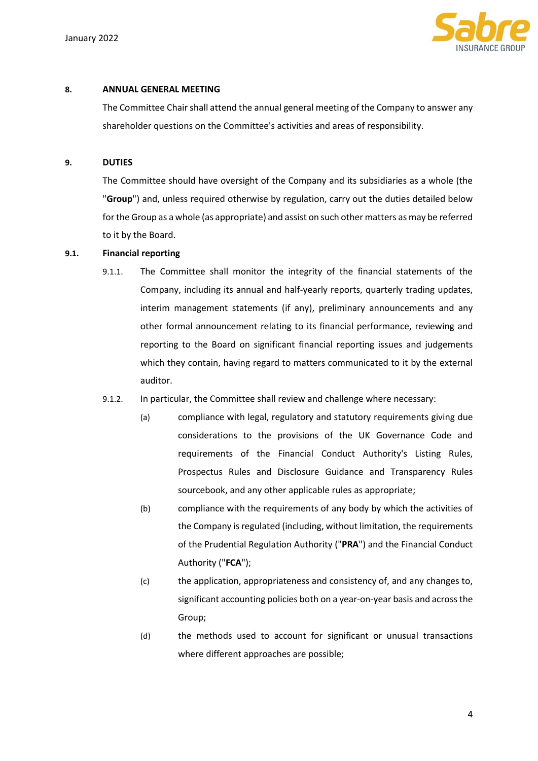

# 8. ANNUAL GENERAL MEETING

The Committee Chair shall attend the annual general meeting of the Company to answer any shareholder questions on the Committee's activities and areas of responsibility.

## 9. DUTIES

The Committee should have oversight of the Company and its subsidiaries as a whole (the "Group") and, unless required otherwise by regulation, carry out the duties detailed below for the Group as a whole (as appropriate) and assist on such other matters as may be referred to it by the Board.

#### 9.1. Financial reporting

9.1.1. The Committee shall monitor the integrity of the financial statements of the Company, including its annual and half-yearly reports, quarterly trading updates, interim management statements (if any), preliminary announcements and any other formal announcement relating to its financial performance, reviewing and reporting to the Board on significant financial reporting issues and judgements which they contain, having regard to matters communicated to it by the external auditor.

#### 9.1.2. In particular, the Committee shall review and challenge where necessary:

- (a) compliance with legal, regulatory and statutory requirements giving due considerations to the provisions of the UK Governance Code and requirements of the Financial Conduct Authority's Listing Rules, Prospectus Rules and Disclosure Guidance and Transparency Rules sourcebook, and any other applicable rules as appropriate;
- (b) compliance with the requirements of any body by which the activities of the Company is regulated (including, without limitation, the requirements of the Prudential Regulation Authority ("PRA") and the Financial Conduct Authority ("FCA");
- (c) the application, appropriateness and consistency of, and any changes to, significant accounting policies both on a year-on-year basis and across the Group;
- (d) the methods used to account for significant or unusual transactions where different approaches are possible;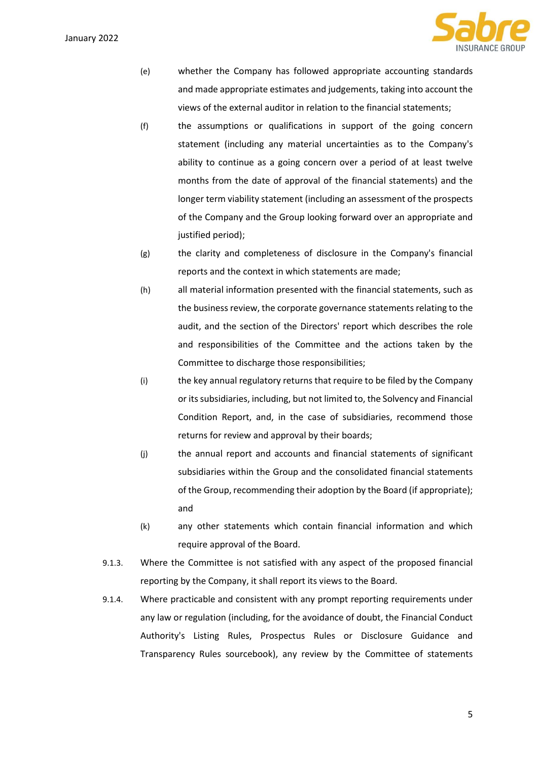January 2022



- (e) whether the Company has followed appropriate accounting standards and made appropriate estimates and judgements, taking into account the views of the external auditor in relation to the financial statements;
- (f) the assumptions or qualifications in support of the going concern statement (including any material uncertainties as to the Company's ability to continue as a going concern over a period of at least twelve months from the date of approval of the financial statements) and the longer term viability statement (including an assessment of the prospects of the Company and the Group looking forward over an appropriate and justified period);
- (g) the clarity and completeness of disclosure in the Company's financial reports and the context in which statements are made;
- (h) all material information presented with the financial statements, such as the business review, the corporate governance statements relating to the audit, and the section of the Directors' report which describes the role and responsibilities of the Committee and the actions taken by the Committee to discharge those responsibilities;
- (i) the key annual regulatory returns that require to be filed by the Company or its subsidiaries, including, but not limited to, the Solvency and Financial Condition Report, and, in the case of subsidiaries, recommend those returns for review and approval by their boards;
- (j) the annual report and accounts and financial statements of significant subsidiaries within the Group and the consolidated financial statements of the Group, recommending their adoption by the Board (if appropriate); and
- (k) any other statements which contain financial information and which require approval of the Board.
- 9.1.3. Where the Committee is not satisfied with any aspect of the proposed financial reporting by the Company, it shall report its views to the Board.
- 9.1.4. Where practicable and consistent with any prompt reporting requirements under any law or regulation (including, for the avoidance of doubt, the Financial Conduct Authority's Listing Rules, Prospectus Rules or Disclosure Guidance and Transparency Rules sourcebook), any review by the Committee of statements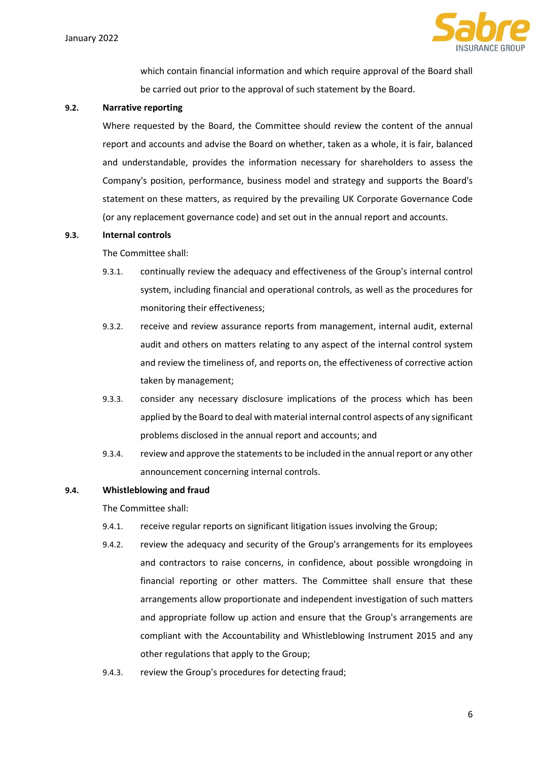

which contain financial information and which require approval of the Board shall be carried out prior to the approval of such statement by the Board.

## 9.2. Narrative reporting

Where requested by the Board, the Committee should review the content of the annual report and accounts and advise the Board on whether, taken as a whole, it is fair, balanced and understandable, provides the information necessary for shareholders to assess the Company's position, performance, business model and strategy and supports the Board's statement on these matters, as required by the prevailing UK Corporate Governance Code (or any replacement governance code) and set out in the annual report and accounts.

## 9.3. Internal controls

The Committee shall:

- 9.3.1. continually review the adequacy and effectiveness of the Group's internal control system, including financial and operational controls, as well as the procedures for monitoring their effectiveness;
- 9.3.2. receive and review assurance reports from management, internal audit, external audit and others on matters relating to any aspect of the internal control system and review the timeliness of, and reports on, the effectiveness of corrective action taken by management;
- 9.3.3. consider any necessary disclosure implications of the process which has been applied by the Board to deal with material internal control aspects of any significant problems disclosed in the annual report and accounts; and
- 9.3.4. review and approve the statements to be included in the annual report or any other announcement concerning internal controls.

# 9.4. Whistleblowing and fraud

The Committee shall:

- 9.4.1. receive regular reports on significant litigation issues involving the Group;
- 9.4.2. review the adequacy and security of the Group's arrangements for its employees and contractors to raise concerns, in confidence, about possible wrongdoing in financial reporting or other matters. The Committee shall ensure that these arrangements allow proportionate and independent investigation of such matters and appropriate follow up action and ensure that the Group's arrangements are compliant with the Accountability and Whistleblowing Instrument 2015 and any other regulations that apply to the Group;
- 9.4.3. review the Group's procedures for detecting fraud;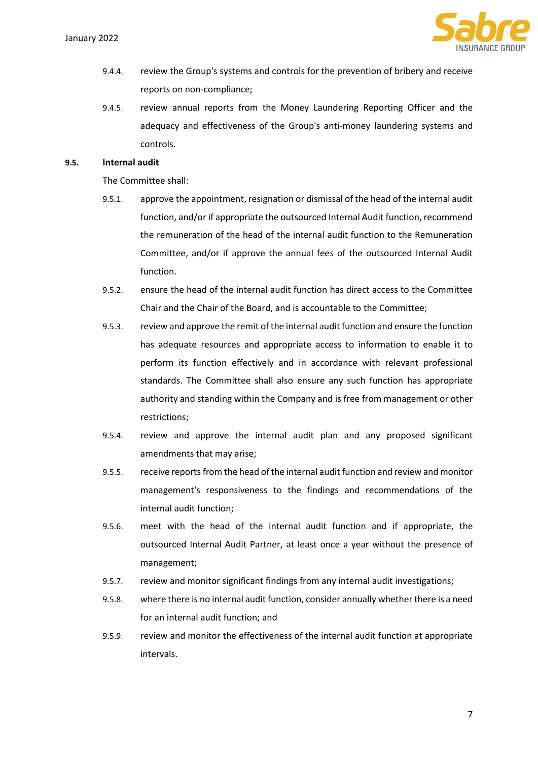

- 9.4.4. review the Group's systems and controls for the prevention of bribery and receive reports on non-compliance;
- 9.4.5. review annual reports from the Money Laundering Reporting Officer and the adequacy and effectiveness of the Group's anti-money laundering systems and controls.

# 9.5. Internal audit

The Committee shall:

- 9.5.1. approve the appointment, resignation or dismissal of the head of the internal audit function, and/or if appropriate the outsourced Internal Audit function, recommend the remuneration of the head of the internal audit function to the Remuneration Committee, and/or if approve the annual fees of the outsourced Internal Audit function.
- 9.5.2. ensure the head of the internal audit function has direct access to the Committee Chair and the Chair of the Board, and is accountable to the Committee;
- 9.5.3. review and approve the remit of the internal audit function and ensure the function has adequate resources and appropriate access to information to enable it to perform its function effectively and in accordance with relevant professional standards. The Committee shall also ensure any such function has appropriate authority and standing within the Company and is free from management or other restrictions;
- 9.5.4. review and approve the internal audit plan and any proposed significant amendments that may arise;
- 9.5.5. receive reports from the head of the internal audit function and review and monitor management's responsiveness to the findings and recommendations of the internal audit function;
- 9.5.6. meet with the head of the internal audit function and if appropriate, the outsourced Internal Audit Partner, at least once a year without the presence of management;
- 9.5.7. review and monitor significant findings from any internal audit investigations;
- 9.5.8. where there is no internal audit function, consider annually whether there is a need for an internal audit function; and
- 9.5.9. review and monitor the effectiveness of the internal audit function at appropriate intervals.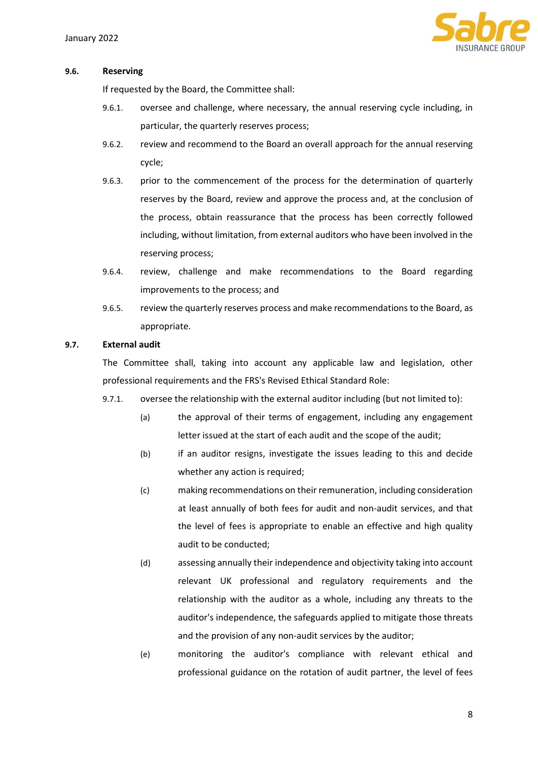

#### 9.6. Reserving

If requested by the Board, the Committee shall:

- 9.6.1. oversee and challenge, where necessary, the annual reserving cycle including, in particular, the quarterly reserves process;
- 9.6.2. review and recommend to the Board an overall approach for the annual reserving cycle;
- 9.6.3. prior to the commencement of the process for the determination of quarterly reserves by the Board, review and approve the process and, at the conclusion of the process, obtain reassurance that the process has been correctly followed including, without limitation, from external auditors who have been involved in the reserving process;
- 9.6.4. review, challenge and make recommendations to the Board regarding improvements to the process; and
- 9.6.5. review the quarterly reserves process and make recommendations to the Board, as appropriate.

#### 9.7. External audit

The Committee shall, taking into account any applicable law and legislation, other professional requirements and the FRS's Revised Ethical Standard Role:

- 9.7.1. oversee the relationship with the external auditor including (but not limited to):
	- (a) the approval of their terms of engagement, including any engagement letter issued at the start of each audit and the scope of the audit;
	- (b) if an auditor resigns, investigate the issues leading to this and decide whether any action is required;
	- (c) making recommendations on their remuneration, including consideration at least annually of both fees for audit and non-audit services, and that the level of fees is appropriate to enable an effective and high quality audit to be conducted;
	- (d) assessing annually their independence and objectivity taking into account relevant UK professional and regulatory requirements and the relationship with the auditor as a whole, including any threats to the auditor's independence, the safeguards applied to mitigate those threats and the provision of any non-audit services by the auditor;
	- (e) monitoring the auditor's compliance with relevant ethical and professional guidance on the rotation of audit partner, the level of fees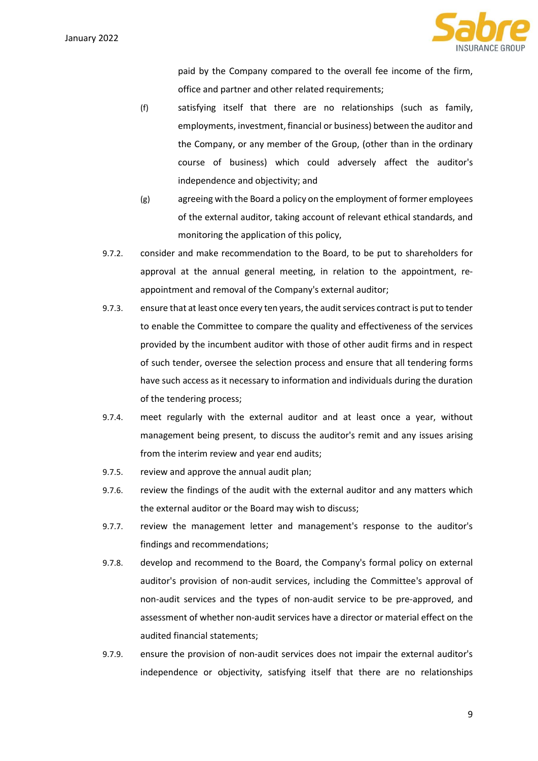

paid by the Company compared to the overall fee income of the firm, office and partner and other related requirements;

- (f) satisfying itself that there are no relationships (such as family, employments, investment, financial or business) between the auditor and the Company, or any member of the Group, (other than in the ordinary course of business) which could adversely affect the auditor's independence and objectivity; and
- (g) agreeing with the Board a policy on the employment of former employees of the external auditor, taking account of relevant ethical standards, and monitoring the application of this policy,
- 9.7.2. consider and make recommendation to the Board, to be put to shareholders for approval at the annual general meeting, in relation to the appointment, reappointment and removal of the Company's external auditor;
- 9.7.3. ensure that at least once every ten years, the audit services contract is put to tender to enable the Committee to compare the quality and effectiveness of the services provided by the incumbent auditor with those of other audit firms and in respect of such tender, oversee the selection process and ensure that all tendering forms have such access as it necessary to information and individuals during the duration of the tendering process;
- 9.7.4. meet regularly with the external auditor and at least once a year, without management being present, to discuss the auditor's remit and any issues arising from the interim review and year end audits;
- 9.7.5. review and approve the annual audit plan;
- 9.7.6. review the findings of the audit with the external auditor and any matters which the external auditor or the Board may wish to discuss;
- 9.7.7. review the management letter and management's response to the auditor's findings and recommendations;
- 9.7.8. develop and recommend to the Board, the Company's formal policy on external auditor's provision of non-audit services, including the Committee's approval of non-audit services and the types of non-audit service to be pre-approved, and assessment of whether non-audit services have a director or material effect on the audited financial statements;
- 9.7.9. ensure the provision of non-audit services does not impair the external auditor's independence or objectivity, satisfying itself that there are no relationships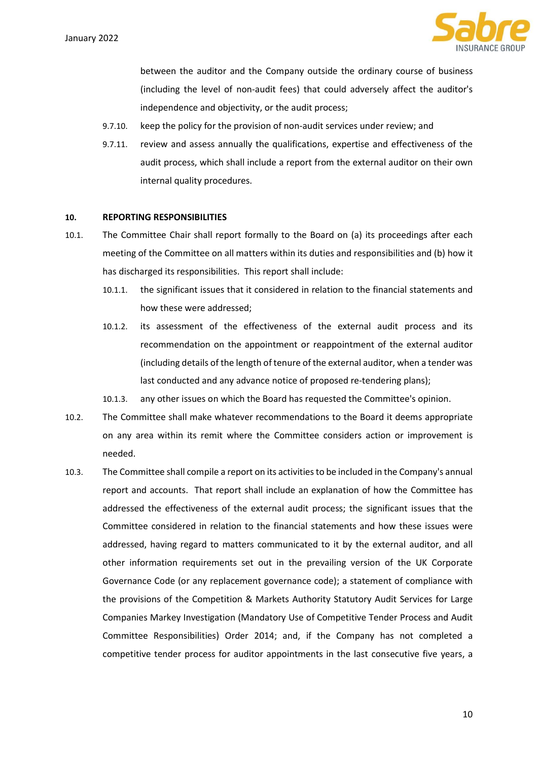

between the auditor and the Company outside the ordinary course of business (including the level of non-audit fees) that could adversely affect the auditor's independence and objectivity, or the audit process;

- 9.7.10. keep the policy for the provision of non-audit services under review; and
- 9.7.11. review and assess annually the qualifications, expertise and effectiveness of the audit process, which shall include a report from the external auditor on their own internal quality procedures.

## 10. REPORTING RESPONSIBILITIES

- 10.1. The Committee Chair shall report formally to the Board on (a) its proceedings after each meeting of the Committee on all matters within its duties and responsibilities and (b) how it has discharged its responsibilities. This report shall include:
	- 10.1.1. the significant issues that it considered in relation to the financial statements and how these were addressed;
	- 10.1.2. its assessment of the effectiveness of the external audit process and its recommendation on the appointment or reappointment of the external auditor (including details of the length of tenure of the external auditor, when a tender was last conducted and any advance notice of proposed re-tendering plans);
	- 10.1.3. any other issues on which the Board has requested the Committee's opinion.
- 10.2. The Committee shall make whatever recommendations to the Board it deems appropriate on any area within its remit where the Committee considers action or improvement is needed.
- 10.3. The Committee shall compile a report on its activities to be included in the Company's annual report and accounts. That report shall include an explanation of how the Committee has addressed the effectiveness of the external audit process; the significant issues that the Committee considered in relation to the financial statements and how these issues were addressed, having regard to matters communicated to it by the external auditor, and all other information requirements set out in the prevailing version of the UK Corporate Governance Code (or any replacement governance code); a statement of compliance with the provisions of the Competition & Markets Authority Statutory Audit Services for Large Companies Markey Investigation (Mandatory Use of Competitive Tender Process and Audit Committee Responsibilities) Order 2014; and, if the Company has not completed a competitive tender process for auditor appointments in the last consecutive five years, a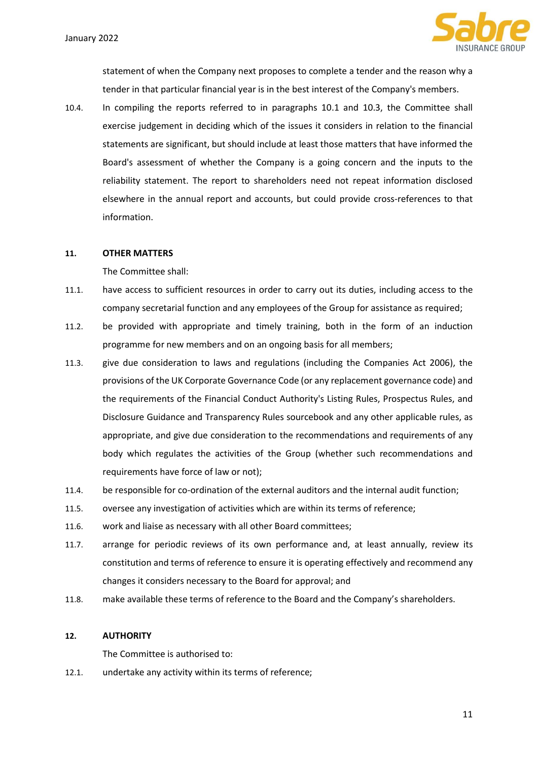

statement of when the Company next proposes to complete a tender and the reason why a tender in that particular financial year is in the best interest of the Company's members.

10.4. In compiling the reports referred to in paragraphs 10.1 and 10.3, the Committee shall exercise judgement in deciding which of the issues it considers in relation to the financial statements are significant, but should include at least those matters that have informed the Board's assessment of whether the Company is a going concern and the inputs to the reliability statement. The report to shareholders need not repeat information disclosed elsewhere in the annual report and accounts, but could provide cross-references to that information.

## 11. OTHER MATTERS

The Committee shall:

- 11.1. have access to sufficient resources in order to carry out its duties, including access to the company secretarial function and any employees of the Group for assistance as required;
- 11.2. be provided with appropriate and timely training, both in the form of an induction programme for new members and on an ongoing basis for all members;
- 11.3. give due consideration to laws and regulations (including the Companies Act 2006), the provisions of the UK Corporate Governance Code (or any replacement governance code) and the requirements of the Financial Conduct Authority's Listing Rules, Prospectus Rules, and Disclosure Guidance and Transparency Rules sourcebook and any other applicable rules, as appropriate, and give due consideration to the recommendations and requirements of any body which regulates the activities of the Group (whether such recommendations and requirements have force of law or not);
- 11.4. be responsible for co-ordination of the external auditors and the internal audit function;
- 11.5. oversee any investigation of activities which are within its terms of reference;
- 11.6. work and liaise as necessary with all other Board committees;
- 11.7. arrange for periodic reviews of its own performance and, at least annually, review its constitution and terms of reference to ensure it is operating effectively and recommend any changes it considers necessary to the Board for approval; and
- 11.8. make available these terms of reference to the Board and the Company's shareholders.

#### 12. AUTHORITY

The Committee is authorised to:

12.1. undertake any activity within its terms of reference;